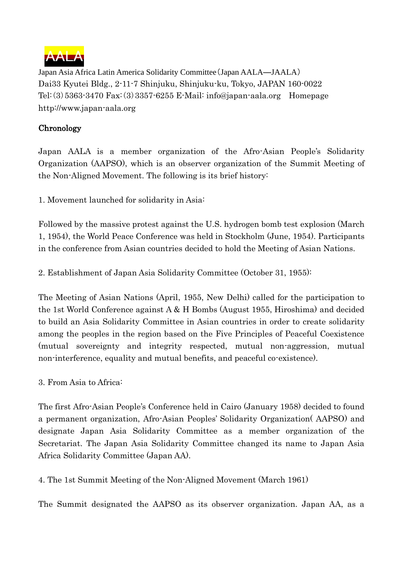

Japan Asia Africa Latin America Solidarity Committee(Japan AALA―JAALA) Dai33 Kyutei Bldg., 2-11-7 Shinjuku, Shinjuku-ku, Tokyo, JAPAN 160-0022 Tel:(3)5363-3470 Fax:(3)3357-6255 E-Mail: info@japan-aala.org Homepage http://www.japan-aala.org

## **Chronology**

Japan AALA is a member organization of the Afro-Asian People's Solidarity Organization (AAPSO), which is an observer organization of the Summit Meeting of the Non-Aligned Movement. The following is its brief history:

1. Movement launched for solidarity in Asia:

Followed by the massive protest against the U.S. hydrogen bomb test explosion (March 1, 1954), the World Peace Conference was held in Stockholm (June, 1954). Participants in the conference from Asian countries decided to hold the Meeting of Asian Nations.

2. Establishment of Japan Asia Solidarity Committee (October 31, 1955):

The Meeting of Asian Nations (April, 1955, New Delhi) called for the participation to the 1st World Conference against A & H Bombs (August 1955, Hiroshima) and decided to build an Asia Solidarity Committee in Asian countries in order to create solidarity among the peoples in the region based on the Five Principles of Peaceful Coexistence (mutual sovereignty and integrity respected, mutual non-aggression, mutual non-interference, equality and mutual benefits, and peaceful co-existence).

3. From Asia to Africa:

The first Afro-Asian People's Conference held in Cairo (January 1958) decided to found a permanent organization, Afro-Asian Peoples' Solidarity Organization( AAPSO) and designate Japan Asia Solidarity Committee as a member organization of the Secretariat. The Japan Asia Solidarity Committee changed its name to Japan Asia Africa Solidarity Committee (Japan AA).

4. The 1st Summit Meeting of the Non-Aligned Movement (March 1961)

The Summit designated the AAPSO as its observer organization. Japan AA, as a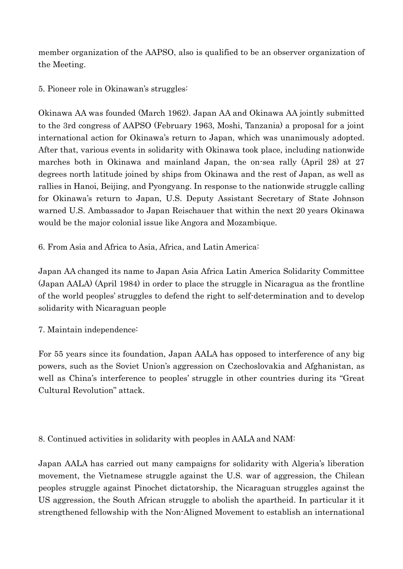member organization of the AAPSO, also is qualified to be an observer organization of the Meeting.

5. Pioneer role in Okinawan's struggles:

Okinawa AA was founded (March 1962). Japan AA and Okinawa AA jointly submitted to the 3rd congress of AAPSO (February 1963, Moshi, Tanzania) a proposal for a joint international action for Okinawa's return to Japan, which was unanimously adopted. After that, various events in solidarity with Okinawa took place, including nationwide marches both in Okinawa and mainland Japan, the on-sea rally (April 28) at 27 degrees north latitude joined by ships from Okinawa and the rest of Japan, as well as rallies in Hanoi, Beijing, and Pyongyang. In response to the nationwide struggle calling for Okinawa's return to Japan, U.S. Deputy Assistant Secretary of State Johnson warned U.S. Ambassador to Japan Reischauer that within the next 20 years Okinawa would be the major colonial issue like Angora and Mozambique.

6. From Asia and Africa to Asia, Africa, and Latin America:

Japan AA changed its name to Japan Asia Africa Latin America Solidarity Committee (Japan AALA) (April 1984) in order to place the struggle in Nicaragua as the frontline of the world peoples' struggles to defend the right to self-determination and to develop solidarity with Nicaraguan people

7. Maintain independence:

For 55 years since its foundation, Japan AALA has opposed to interference of any big powers, such as the Soviet Union's aggression on Czechoslovakia and Afghanistan, as well as China's interference to peoples' struggle in other countries during its "Great Cultural Revolution" attack.

8. Continued activities in solidarity with peoples in AALA and NAM:

Japan AALA has carried out many campaigns for solidarity with Algeria's liberation movement, the Vietnamese struggle against the U.S. war of aggression, the Chilean peoples struggle against Pinochet dictatorship, the Nicaraguan struggles against the US aggression, the South African struggle to abolish the apartheid. In particular it it strengthened fellowship with the Non-Aligned Movement to establish an international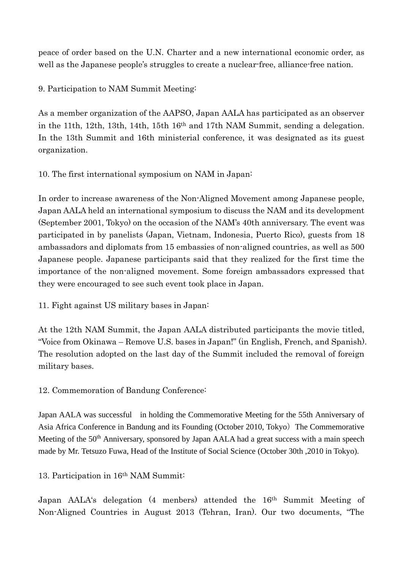peace of order based on the U.N. Charter and a new international economic order, as well as the Japanese people's struggles to create a nuclear-free, alliance-free nation.

9. Participation to NAM Summit Meeting:

As a member organization of the AAPSO, Japan AALA has participated as an observer in the 11th, 12th, 13th, 14th, 15th 16th and 17th NAM Summit, sending a delegation. In the 13th Summit and 16th ministerial conference, it was designated as its guest organization.

10. The first international symposium on NAM in Japan:

In order to increase awareness of the Non-Aligned Movement among Japanese people, Japan AALA held an international symposium to discuss the NAM and its development (September 2001, Tokyo) on the occasion of the NAM's 40th anniversary. The event was participated in by panelists (Japan, Vietnam, Indonesia, Puerto Rico), guests from 18 ambassadors and diplomats from 15 embassies of non-aligned countries, as well as 500 Japanese people. Japanese participants said that they realized for the first time the importance of the non-aligned movement. Some foreign ambassadors expressed that they were encouraged to see such event took place in Japan.

11. Fight against US military bases in Japan:

At the 12th NAM Summit, the Japan AALA distributed participants the movie titled, "Voice from Okinawa – Remove U.S. bases in Japan!" (in English, French, and Spanish). The resolution adopted on the last day of the Summit included the removal of foreign military bases.

12. Commemoration of Bandung Conference:

Japan AALA was successful in holding the Commemorative Meeting for the 55th Anniversary of Asia Africa Conference in Bandung and its Founding (October 2010, Tokyo) The Commemorative Meeting of the 50<sup>th</sup> Anniversary, sponsored by Japan AALA had a great success with a main speech made by Mr. Tetsuzo Fuwa, Head of the Institute of Social Science (October 30th ,2010 in Tokyo).

13. Participation in 16th NAM Summit:

Japan AALA's delegation (4 menbers) attended the 16th Summit Meeting of Non-Aligned Countries in August 2013 (Tehran, Iran). Our two documents, "The